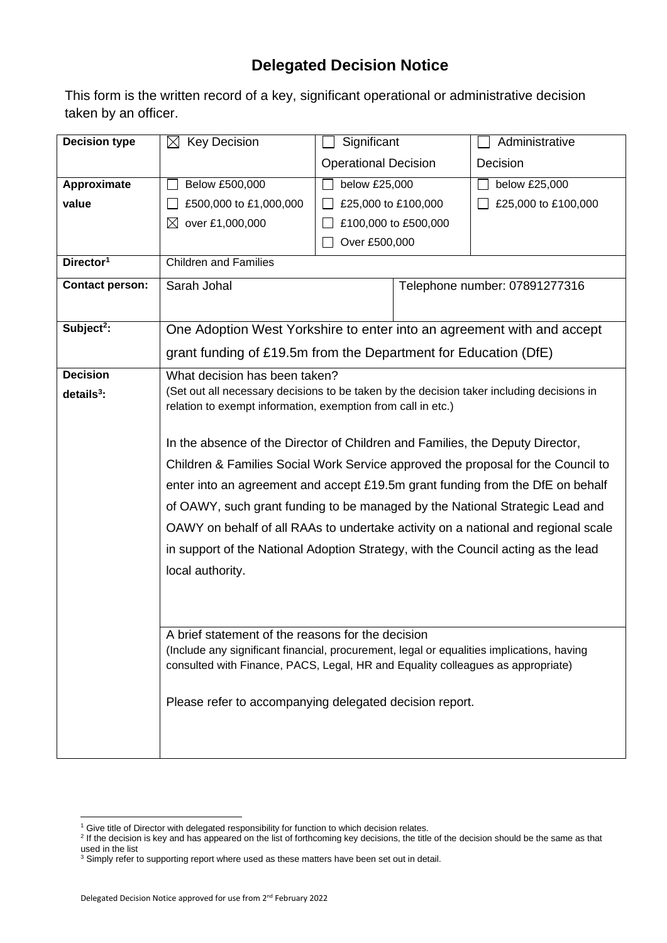## **Delegated Decision Notice**

This form is the written record of a key, significant operational or administrative decision taken by an officer.

| <b>Decision type</b>   | <b>Key Decision</b><br>$\boxtimes$                                                                                                                                           | Significant                                                            |                               | Administrative      |  |  |  |
|------------------------|------------------------------------------------------------------------------------------------------------------------------------------------------------------------------|------------------------------------------------------------------------|-------------------------------|---------------------|--|--|--|
|                        |                                                                                                                                                                              | <b>Operational Decision</b>                                            |                               | Decision            |  |  |  |
| Approximate            | Below £500,000                                                                                                                                                               | below £25,000                                                          |                               | below £25,000       |  |  |  |
| value                  | £500,000 to £1,000,000                                                                                                                                                       | £25,000 to £100,000                                                    |                               | £25,000 to £100,000 |  |  |  |
|                        | ⊠<br>over £1,000,000                                                                                                                                                         | £100,000 to £500,000                                                   |                               |                     |  |  |  |
|                        |                                                                                                                                                                              | Over £500,000                                                          |                               |                     |  |  |  |
| Director <sup>1</sup>  | <b>Children and Families</b>                                                                                                                                                 |                                                                        |                               |                     |  |  |  |
| <b>Contact person:</b> | Sarah Johal                                                                                                                                                                  |                                                                        | Telephone number: 07891277316 |                     |  |  |  |
| Subject <sup>2</sup> : |                                                                                                                                                                              | One Adoption West Yorkshire to enter into an agreement with and accept |                               |                     |  |  |  |
|                        | grant funding of £19.5m from the Department for Education (DfE)                                                                                                              |                                                                        |                               |                     |  |  |  |
|                        |                                                                                                                                                                              |                                                                        |                               |                     |  |  |  |
| <b>Decision</b>        | What decision has been taken?                                                                                                                                                |                                                                        |                               |                     |  |  |  |
| $details3$ :           | (Set out all necessary decisions to be taken by the decision taker including decisions in<br>relation to exempt information, exemption from call in etc.)                    |                                                                        |                               |                     |  |  |  |
|                        |                                                                                                                                                                              |                                                                        |                               |                     |  |  |  |
|                        | In the absence of the Director of Children and Families, the Deputy Director,                                                                                                |                                                                        |                               |                     |  |  |  |
|                        | Children & Families Social Work Service approved the proposal for the Council to                                                                                             |                                                                        |                               |                     |  |  |  |
|                        | enter into an agreement and accept £19.5m grant funding from the DfE on behalf                                                                                               |                                                                        |                               |                     |  |  |  |
|                        | of OAWY, such grant funding to be managed by the National Strategic Lead and                                                                                                 |                                                                        |                               |                     |  |  |  |
|                        | OAWY on behalf of all RAAs to undertake activity on a national and regional scale                                                                                            |                                                                        |                               |                     |  |  |  |
|                        |                                                                                                                                                                              |                                                                        |                               |                     |  |  |  |
|                        | in support of the National Adoption Strategy, with the Council acting as the lead                                                                                            |                                                                        |                               |                     |  |  |  |
|                        | local authority.                                                                                                                                                             |                                                                        |                               |                     |  |  |  |
|                        |                                                                                                                                                                              |                                                                        |                               |                     |  |  |  |
|                        |                                                                                                                                                                              |                                                                        |                               |                     |  |  |  |
|                        | A brief statement of the reasons for the decision                                                                                                                            |                                                                        |                               |                     |  |  |  |
|                        | (Include any significant financial, procurement, legal or equalities implications, having<br>consulted with Finance, PACS, Legal, HR and Equality colleagues as appropriate) |                                                                        |                               |                     |  |  |  |
|                        |                                                                                                                                                                              |                                                                        |                               |                     |  |  |  |
|                        | Please refer to accompanying delegated decision report.                                                                                                                      |                                                                        |                               |                     |  |  |  |
|                        |                                                                                                                                                                              |                                                                        |                               |                     |  |  |  |
|                        |                                                                                                                                                                              |                                                                        |                               |                     |  |  |  |
|                        |                                                                                                                                                                              |                                                                        |                               |                     |  |  |  |

<sup>&</sup>lt;sup>1</sup> Give title of Director with delegated responsibility for function to which decision relates.

<sup>&</sup>lt;sup>2</sup> If the decision is key and has appeared on the list of forthcoming key decisions, the title of the decision should be the same as that used in the list

 $3$  Simply refer to supporting report where used as these matters have been set out in detail.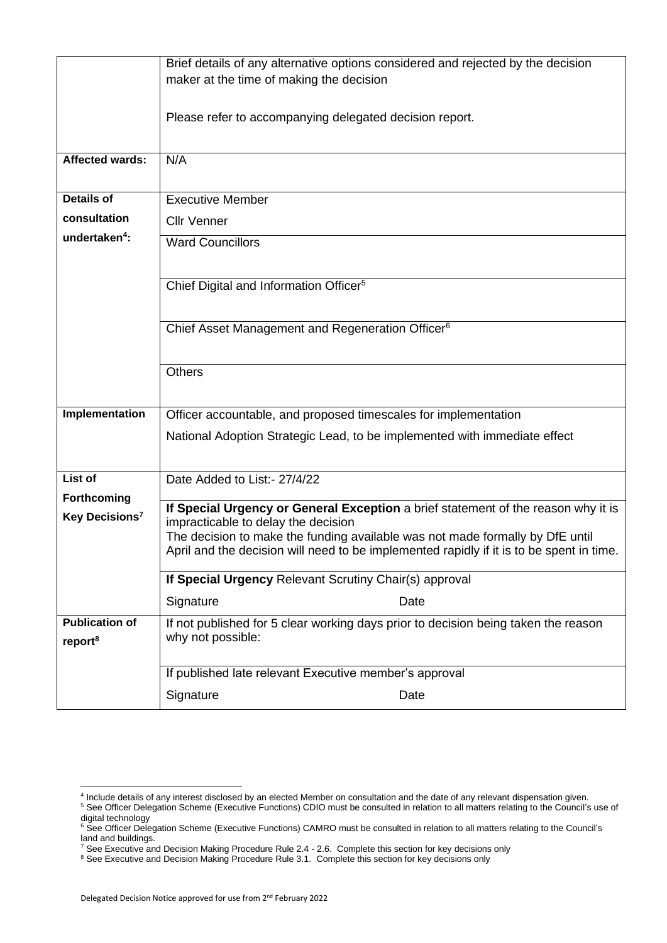|                            | Brief details of any alternative options considered and rejected by the decision                                         |  |  |  |  |  |
|----------------------------|--------------------------------------------------------------------------------------------------------------------------|--|--|--|--|--|
|                            | maker at the time of making the decision                                                                                 |  |  |  |  |  |
|                            | Please refer to accompanying delegated decision report.                                                                  |  |  |  |  |  |
| <b>Affected wards:</b>     | N/A                                                                                                                      |  |  |  |  |  |
|                            |                                                                                                                          |  |  |  |  |  |
| <b>Details of</b>          | <b>Executive Member</b>                                                                                                  |  |  |  |  |  |
| consultation               | <b>Cllr Venner</b>                                                                                                       |  |  |  |  |  |
| undertaken <sup>4</sup> :  | <b>Ward Councillors</b>                                                                                                  |  |  |  |  |  |
|                            |                                                                                                                          |  |  |  |  |  |
|                            | Chief Digital and Information Officer <sup>5</sup>                                                                       |  |  |  |  |  |
|                            |                                                                                                                          |  |  |  |  |  |
|                            | Chief Asset Management and Regeneration Officer <sup>6</sup>                                                             |  |  |  |  |  |
|                            |                                                                                                                          |  |  |  |  |  |
|                            | <b>Others</b>                                                                                                            |  |  |  |  |  |
|                            |                                                                                                                          |  |  |  |  |  |
| Implementation             | Officer accountable, and proposed timescales for implementation                                                          |  |  |  |  |  |
|                            | National Adoption Strategic Lead, to be implemented with immediate effect                                                |  |  |  |  |  |
|                            |                                                                                                                          |  |  |  |  |  |
| List of                    | Date Added to List:- 27/4/22                                                                                             |  |  |  |  |  |
| Forthcoming                |                                                                                                                          |  |  |  |  |  |
| Key Decisions <sup>7</sup> | If Special Urgency or General Exception a brief statement of the reason why it is<br>impracticable to delay the decision |  |  |  |  |  |
|                            | The decision to make the funding available was not made formally by DfE until                                            |  |  |  |  |  |
|                            | April and the decision will need to be implemented rapidly if it is to be spent in time.                                 |  |  |  |  |  |
|                            | If Special Urgency Relevant Scrutiny Chair(s) approval                                                                   |  |  |  |  |  |
|                            | Signature<br>Date                                                                                                        |  |  |  |  |  |
| <b>Publication of</b>      | If not published for 5 clear working days prior to decision being taken the reason                                       |  |  |  |  |  |
| report <sup>8</sup>        | why not possible:                                                                                                        |  |  |  |  |  |
|                            | If published late relevant Executive member's approval                                                                   |  |  |  |  |  |
|                            |                                                                                                                          |  |  |  |  |  |
|                            | Signature<br>Date                                                                                                        |  |  |  |  |  |

<sup>4</sup> Include details of any interest disclosed by an elected Member on consultation and the date of any relevant dispensation given.

<sup>&</sup>lt;sup>5</sup> See Officer Delegation Scheme (Executive Functions) CDIO must be consulted in relation to all matters relating to the Council's use of digital technology

<sup>&</sup>lt;sup>6</sup> See Officer Delegation Scheme (Executive Functions) CAMRO must be consulted in relation to all matters relating to the Council's land and buildings.

 $^7$  See Executive and Decision Making Procedure Rule 2.4 - 2.6. Complete this section for key decisions only

<sup>&</sup>lt;sup>8</sup> See Executive and Decision Making Procedure Rule 3.1. Complete this section for key decisions only